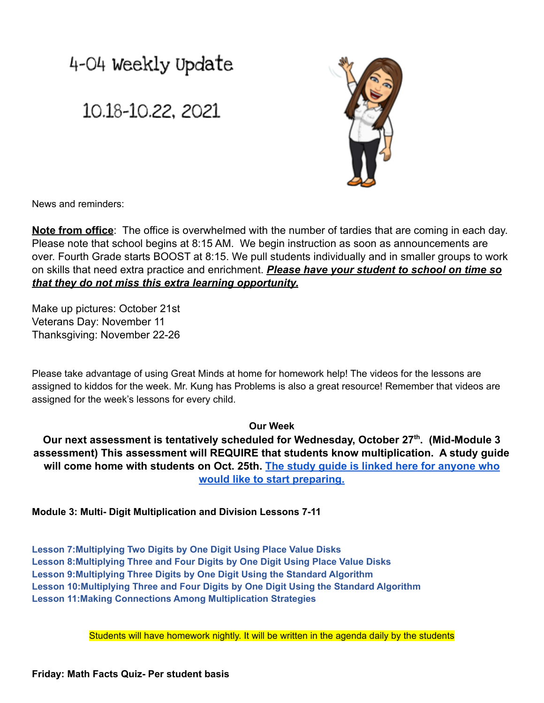## 4-04 Weekly Update

## 10.18-10.22, 2021



News and reminders:

**Note from office**: The office is overwhelmed with the number of tardies that are coming in each day. Please note that school begins at 8:15 AM. We begin instruction as soon as announcements are over. Fourth Grade starts BOOST at 8:15. We pull students individually and in smaller groups to work on skills that need extra practice and enrichment. *Please have your student to school on time so that they do not miss this extra learning opportunity.*

Make up pictures: October 21st Veterans Day: November 11 Thanksgiving: November 22-26

Please take advantage of using Great Minds at home for homework help! The videos for the lessons are assigned to kiddos for the week. Mr. Kung has Problems is also a great resource! Remember that videos are assigned for the week's lessons for every child.

## **Our Week**

**Our next assessment is tentatively scheduled for Wednesday, October 27th . (Mid-Module 3 assessment) This assessment will REQUIRE that students know multiplication. A study guide will come home with students on Oct. 25th. The study [guide is linked here for anyone who](https://drive.google.com/file/d/19OzQd8UOIITyLdBtmatFgacRWuigHYZC/view?usp=sharing) [would like to start preparing.](https://drive.google.com/file/d/19OzQd8UOIITyLdBtmatFgacRWuigHYZC/view?usp=sharing)**

**Module 3: Multi- Digit Multiplication and Division Lessons 7-11**

**Lesson 7:Multiplying Two Digits by One Digit Using Place Value Disks Lesson 8:Multiplying Three and Four Digits by One Digit Using Place Value Disks Lesson 9:Multiplying Three Digits by One Digit Using the Standard Algorithm Lesson 10:Multiplying Three and Four Digits by One Digit Using the Standard Algorithm Lesson 11:Making Connections Among Multiplication Strategies**

Students will have homework nightly. It will be written in the agenda daily by the students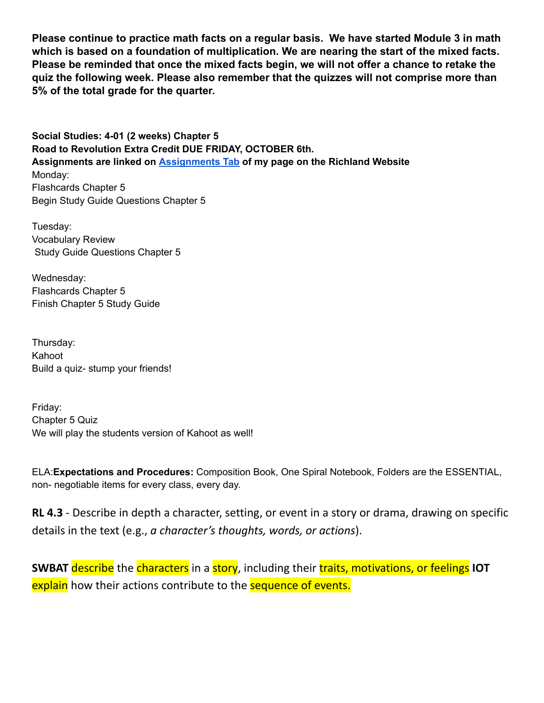**Please continue to practice math facts on a regular basis. We have started Module 3 in math which is based on a foundation of multiplication. We are nearing the start of the mixed facts. Please be reminded that once the mixed facts begin, we will not offer a chance to retake the quiz the following week. Please also remember that the quizzes will not comprise more than 5% of the total grade for the quarter.**

**Social Studies: 4-01 (2 weeks) Chapter 5 Road to Revolution Extra Credit DUE FRIDAY, OCTOBER 6th. Assignments are linked on [Assignments](https://schools.scsk12.org/Page/14428) Tab of my page on the Richland Website** Monday: Flashcards Chapter 5 Begin Study Guide Questions Chapter 5

Tuesday: Vocabulary Review Study Guide Questions Chapter 5

Wednesday: Flashcards Chapter 5 Finish Chapter 5 Study Guide

Thursday: Kahoot Build a quiz- stump your friends!

Friday: Chapter 5 Quiz We will play the students version of Kahoot as well!

ELA:**Expectations and Procedures:** Composition Book, One Spiral Notebook, Folders are the ESSENTIAL, non- negotiable items for every class, every day.

**RL 4.3** - Describe in depth a character, setting, or event in a story or drama, drawing on specific details in the text (e.g., *a character's thoughts, words, or actions*).

**SWBAT** describe the characters in a story, including their traits, motivations, or feelings **IOT** explain how their actions contribute to the **sequence of events.**